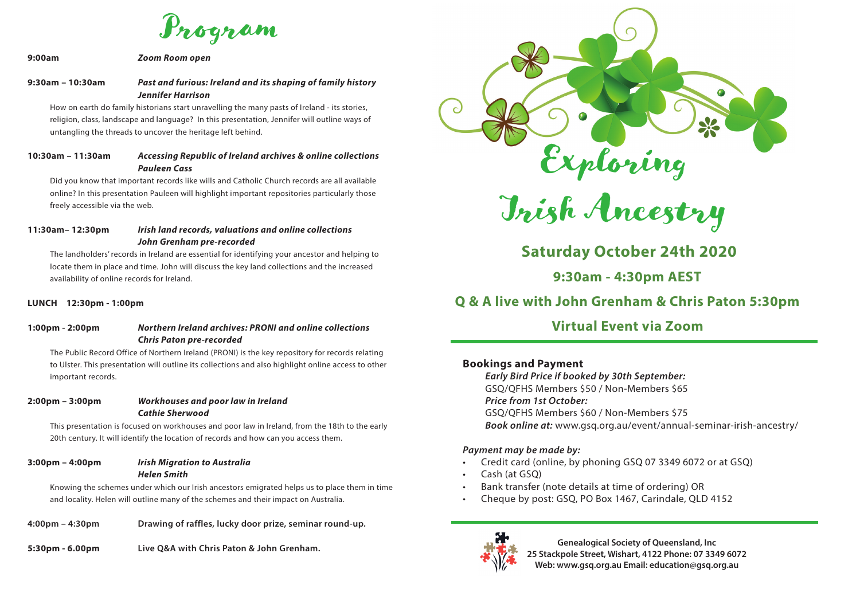Program

#### **9:00am** *Zoom Room open*

### **9:30am – 10:30am** *Past and furious: Ireland and its shaping of family history Jennifer Harrison*

How on earth do family historians start unravelling the many pasts of Ireland - its stories, religion, class, landscape and language? In this presentation, Jennifer will outline ways of untangling the threads to uncover the heritage left behind.

### **10:30am – 11:30am** *Accessing Republic of Ireland archives & online collections Pauleen Cass*

Did you know that important records like wills and Catholic Church records are all available online? In this presentation Pauleen will highlight important repositories particularly those freely accessible via the web.

### **11:30am– 12:30pm** *Irish land records, valuations and online collections John Grenham pre-recorded*

The landholders' records in Ireland are essential for identifying your ancestor and helping to locate them in place and time. John will discuss the key land collections and the increased availability of online records for Ireland.

#### **LUNCH 12:30pm - 1:00pm**

### **1:00pm - 2:00pm** *Northern Ireland archives: PRONI and online collections Chris Paton pre-recorded*

The Public Record Office of Northern Ireland (PRONI) is the key repository for records relating to Ulster. This presentation will outline its collections and also highlight online access to other important records.

### **2:00pm – 3:00pm** *Workhouses and poor law in Ireland Cathie Sherwood*

This presentation is focused on workhouses and poor law in Ireland, from the 18th to the early 20th century. It will identify the location of records and how can you access them.

### **3:00pm – 4:00pm** *Irish Migration to Australia Helen Smith*

Knowing the schemes under which our Irish ancestors emigrated helps us to place them in time and locality. Helen will outline many of the schemes and their impact on Australia.

- **4:00pm 4:30pm Drawing of raffles, lucky door prize, seminar round-up.**
- **5:30pm 6.00pm Live Q&A with Chris Paton & John Grenham.**



Irish Ancestry

# **Saturday October 24th 2020**

**9:30am - 4:30pm AEST**

## **Q & A live with John Grenham & Chris Paton 5:30pm**

### **Virtual Event via Zoom**

### **Bookings and Payment**

*Early Bird Price if booked by 30th September:*  GSQ/QFHS Members \$50 / Non-Members \$65 *Price from 1st October:* GSQ/QFHS Members \$60 / Non-Members \$75 *Book online at:* www.gsq.org.au/event/annual-seminar-irish-ancestry/

### *Payment may be made by:*

- Credit card (online, by phoning GSQ 07 3349 6072 or at GSQ)
- Cash (at GSQ)
- Bank transfer (note details at time of ordering) OR
- Cheque by post: GSQ, PO Box 1467, Carindale, QLD 4152



**Genealogical Society of Queensland, Inc 25 Stackpole Street, Wishart, 4122 Phone: 07 3349 6072 Web: www.gsq.org.au Email: education@gsq.org.au**